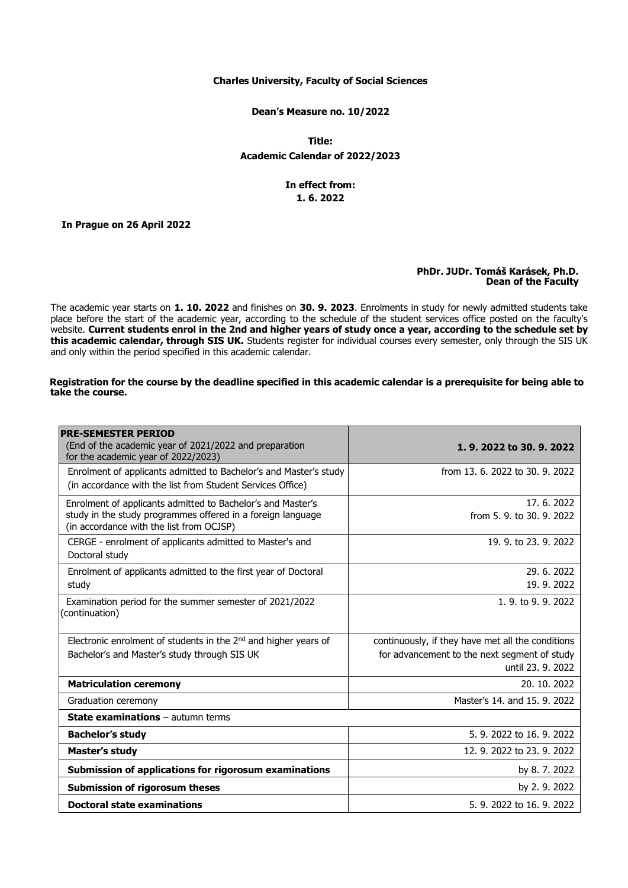## **Charles University, Faculty of Social Sciences**

**Dean's Measure no. 10/2022**

**Title: Academic Calendar of 2022/2023**

# **In effect from: 1. 6. 2022**

**In Prague on 26 April 2022**

#### **PhDr. JUDr. Tomáš Karásek, Ph.D. Dean of the Faculty**

The academic year starts on **1. 10. 2022** and finishes on **30. 9. 2023**. Enrolments in study for newly admitted students take place before the start of the academic year, according to the schedule of the student services office posted on the faculty's website. **Current students enrol in the 2nd and higher years of study once a year, according to the schedule set by this academic calendar, through SIS UK.** Students register for individual courses every semester, only through the SIS UK and only within the period specified in this academic calendar.

## **Registration for the course by the deadline specified in this academic calendar is a prerequisite for being able to take the course.**

| <b>PRE-SEMESTER PERIOD</b><br>(End of the academic year of 2021/2022 and preparation<br>for the academic year of 2022/2023)                                            | 1, 9, 2022 to 30, 9, 2022                                         |
|------------------------------------------------------------------------------------------------------------------------------------------------------------------------|-------------------------------------------------------------------|
| Enrolment of applicants admitted to Bachelor's and Master's study<br>(in accordance with the list from Student Services Office)                                        | from 13, 6, 2022 to 30, 9, 2022                                   |
| Enrolment of applicants admitted to Bachelor's and Master's<br>study in the study programmes offered in a foreign language<br>(in accordance with the list from OCJSP) | 17.6.2022<br>from 5, 9, to 30, 9, 2022                            |
| CERGE - enrolment of applicants admitted to Master's and<br>Doctoral study                                                                                             | 19. 9. to 23. 9. 2022                                             |
| Enrolment of applicants admitted to the first year of Doctoral<br>study                                                                                                | 29.6.2022<br>19.9.2022                                            |
| Examination period for the summer semester of 2021/2022<br>(continuation)                                                                                              | 1.9. to 9.9. 2022                                                 |
| Electronic enrolment of students in the 2 <sup>nd</sup> and higher years of                                                                                            | continuously, if they have met all the conditions                 |
| Bachelor's and Master's study through SIS UK                                                                                                                           | for advancement to the next segment of study<br>until 23, 9, 2022 |
| <b>Matriculation ceremony</b>                                                                                                                                          | 20. 10. 2022                                                      |
| Graduation ceremony                                                                                                                                                    | Master's 14, and 15, 9, 2022                                      |
| <b>State examinations</b> - autumn terms                                                                                                                               |                                                                   |
| <b>Bachelor's study</b>                                                                                                                                                | 5. 9. 2022 to 16. 9. 2022                                         |
| Master's study                                                                                                                                                         | 12, 9, 2022 to 23, 9, 2022                                        |
| Submission of applications for rigorosum examinations                                                                                                                  | by 8.7.2022                                                       |
| <b>Submission of rigorosum theses</b>                                                                                                                                  | by 2.9.2022                                                       |
| <b>Doctoral state examinations</b>                                                                                                                                     | 5. 9. 2022 to 16. 9. 2022                                         |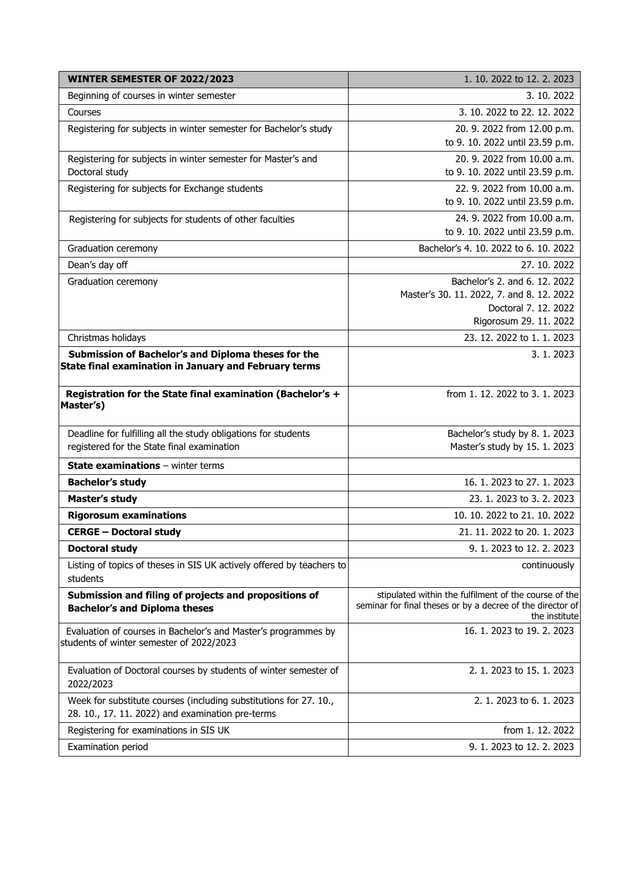| WINTER SEMESTER OF 2022/2023                                                                                          | 1. 10. 2022 to 12. 2. 2023                                                                                                           |
|-----------------------------------------------------------------------------------------------------------------------|--------------------------------------------------------------------------------------------------------------------------------------|
| Beginning of courses in winter semester                                                                               | 3.10.2022                                                                                                                            |
| Courses                                                                                                               | 3. 10. 2022 to 22. 12. 2022                                                                                                          |
| Registering for subjects in winter semester for Bachelor's study                                                      | 20. 9. 2022 from 12.00 p.m.                                                                                                          |
|                                                                                                                       | to 9. 10. 2022 until 23.59 p.m.                                                                                                      |
| Registering for subjects in winter semester for Master's and                                                          | 20. 9. 2022 from 10.00 a.m.                                                                                                          |
| Doctoral study                                                                                                        | to 9. 10. 2022 until 23.59 p.m.                                                                                                      |
| Registering for subjects for Exchange students                                                                        | 22. 9. 2022 from 10.00 a.m.                                                                                                          |
|                                                                                                                       | to 9. 10. 2022 until 23.59 p.m.                                                                                                      |
| Registering for subjects for students of other faculties                                                              | 24. 9. 2022 from 10.00 a.m.                                                                                                          |
|                                                                                                                       | to 9. 10. 2022 until 23.59 p.m.                                                                                                      |
| Graduation ceremony                                                                                                   | Bachelor's 4. 10. 2022 to 6. 10. 2022                                                                                                |
| Dean's day off                                                                                                        | 27. 10. 2022                                                                                                                         |
| Graduation ceremony                                                                                                   | Bachelor's 2. and 6. 12. 2022                                                                                                        |
|                                                                                                                       | Master's 30. 11. 2022, 7. and 8. 12. 2022<br>Doctoral 7. 12. 2022                                                                    |
|                                                                                                                       | Rigorosum 29. 11. 2022                                                                                                               |
| Christmas holidays                                                                                                    | 23, 12, 2022 to 1, 1, 2023                                                                                                           |
| Submission of Bachelor's and Diploma theses for the                                                                   | 3. 1. 2023                                                                                                                           |
| State final examination in January and February terms                                                                 |                                                                                                                                      |
| Registration for the State final examination (Bachelor's +<br>Master's)                                               | from 1.12.2022 to 3.1.2023                                                                                                           |
| Deadline for fulfilling all the study obligations for students                                                        | Bachelor's study by 8.1.2023                                                                                                         |
| registered for the State final examination                                                                            | Master's study by 15. 1. 2023                                                                                                        |
| <b>State examinations</b> - winter terms                                                                              |                                                                                                                                      |
| <b>Bachelor's study</b>                                                                                               | 16. 1. 2023 to 27. 1. 2023                                                                                                           |
| <b>Master's study</b>                                                                                                 | 23. 1. 2023 to 3. 2. 2023                                                                                                            |
| <b>Rigorosum examinations</b>                                                                                         | 10, 10, 2022 to 21, 10, 2022                                                                                                         |
| <b>CERGE - Doctoral study</b>                                                                                         | 21. 11. 2022 to 20. 1. 2023                                                                                                          |
| <b>Doctoral study</b>                                                                                                 | 9. 1. 2023 to 12. 2. 2023                                                                                                            |
| Listing of topics of theses in SIS UK actively offered by teachers to<br>students                                     | continuously                                                                                                                         |
| Submission and filing of projects and propositions of<br><b>Bachelor's and Diploma theses</b>                         | stipulated within the fulfilment of the course of the<br>seminar for final theses or by a decree of the director of<br>the institute |
| Evaluation of courses in Bachelor's and Master's programmes by<br>students of winter semester of 2022/2023            | 16. 1. 2023 to 19. 2. 2023                                                                                                           |
| Evaluation of Doctoral courses by students of winter semester of<br>2022/2023                                         | 2. 1. 2023 to 15. 1. 2023                                                                                                            |
| Week for substitute courses (including substitutions for 27. 10.,<br>28. 10., 17. 11. 2022) and examination pre-terms | 2. 1. 2023 to 6. 1. 2023                                                                                                             |
| Registering for examinations in SIS UK                                                                                | from 1.12.2022                                                                                                                       |
| Examination period                                                                                                    | 9. 1. 2023 to 12. 2. 2023                                                                                                            |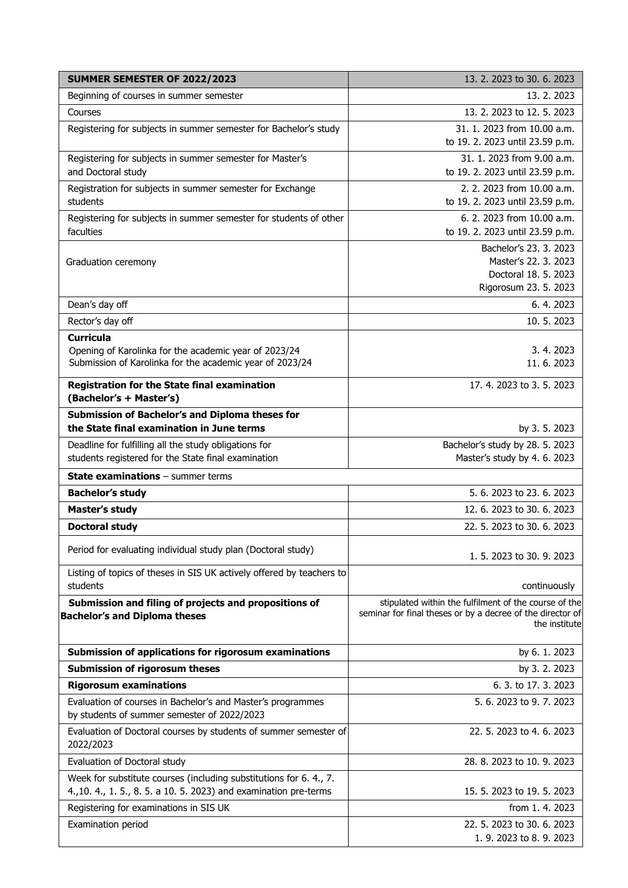| SUMMER SEMESTER OF 2022/2023                                                                                                           | 13. 2. 2023 to 30. 6. 2023                                                                                                           |
|----------------------------------------------------------------------------------------------------------------------------------------|--------------------------------------------------------------------------------------------------------------------------------------|
| Beginning of courses in summer semester                                                                                                | 13.2.2023                                                                                                                            |
| Courses                                                                                                                                | 13. 2. 2023 to 12. 5. 2023                                                                                                           |
| Registering for subjects in summer semester for Bachelor's study                                                                       | 31, 1, 2023 from 10.00 a.m.<br>to 19. 2. 2023 until 23.59 p.m.                                                                       |
| Registering for subjects in summer semester for Master's<br>and Doctoral study                                                         | 31. 1. 2023 from 9.00 a.m.<br>to 19. 2. 2023 until 23.59 p.m.                                                                        |
| Registration for subjects in summer semester for Exchange<br>students                                                                  | 2. 2. 2023 from 10.00 a.m.<br>to 19. 2. 2023 until 23.59 p.m.                                                                        |
| Registering for subjects in summer semester for students of other<br>faculties                                                         | 6. 2. 2023 from 10.00 a.m.<br>to 19. 2. 2023 until 23.59 p.m.                                                                        |
| Graduation ceremony                                                                                                                    | Bachelor's 23. 3. 2023<br>Master's 22. 3. 2023<br>Doctoral 18. 5. 2023<br>Rigorosum 23. 5. 2023                                      |
| Dean's day off                                                                                                                         | 6.4.2023                                                                                                                             |
| Rector's day off                                                                                                                       | 10.5.2023                                                                                                                            |
| <b>Curricula</b><br>Opening of Karolinka for the academic year of 2023/24<br>Submission of Karolinka for the academic year of 2023/24  | 3.4.2023<br>11, 6, 2023                                                                                                              |
| <b>Registration for the State final examination</b><br>(Bachelor's + Master's)                                                         | 17.4.2023 to 3.5.2023                                                                                                                |
| Submission of Bachelor's and Diploma theses for<br>the State final examination in June terms                                           | by 3.5.2023                                                                                                                          |
| Deadline for fulfilling all the study obligations for<br>students registered for the State final examination                           | Bachelor's study by 28. 5. 2023<br>Master's study by 4.6. 2023                                                                       |
| <b>State examinations - summer terms</b>                                                                                               |                                                                                                                                      |
| <b>Bachelor's study</b>                                                                                                                | 5. 6. 2023 to 23. 6. 2023                                                                                                            |
| <b>Master's study</b>                                                                                                                  | 12.6. 2023 to 30.6. 2023                                                                                                             |
| <b>Doctoral study</b>                                                                                                                  | 22. 5. 2023 to 30. 6. 2023                                                                                                           |
| Period for evaluating individual study plan (Doctoral study)                                                                           | 1.5. 2023 to 30.9. 2023                                                                                                              |
| Listing of topics of theses in SIS UK actively offered by teachers to<br>students                                                      | continuously                                                                                                                         |
| Submission and filing of projects and propositions of<br><b>Bachelor's and Diploma theses</b>                                          | stipulated within the fulfilment of the course of the<br>seminar for final theses or by a decree of the director of<br>the institute |
| Submission of applications for rigorosum examinations                                                                                  | by 6.1.2023                                                                                                                          |
| <b>Submission of rigorosum theses</b>                                                                                                  | by 3.2.2023                                                                                                                          |
| <b>Rigorosum examinations</b>                                                                                                          | 6. 3. to 17. 3. 2023                                                                                                                 |
| Evaluation of courses in Bachelor's and Master's programmes<br>by students of summer semester of 2022/2023                             | 5.6.2023 to 9.7.2023                                                                                                                 |
| Evaluation of Doctoral courses by students of summer semester of<br>2022/2023                                                          | 22. 5. 2023 to 4. 6. 2023                                                                                                            |
| Evaluation of Doctoral study                                                                                                           | 28. 8. 2023 to 10. 9. 2023                                                                                                           |
| Week for substitute courses (including substitutions for 6.4., 7.<br>4., 10. 4., 1. 5., 8. 5. a 10. 5. 2023) and examination pre-terms | 15. 5. 2023 to 19. 5. 2023                                                                                                           |
| Registering for examinations in SIS UK                                                                                                 | from 1.4.2023                                                                                                                        |
| Examination period                                                                                                                     | 22. 5. 2023 to 30. 6. 2023<br>1. 9. 2023 to 8. 9. 2023                                                                               |
|                                                                                                                                        |                                                                                                                                      |